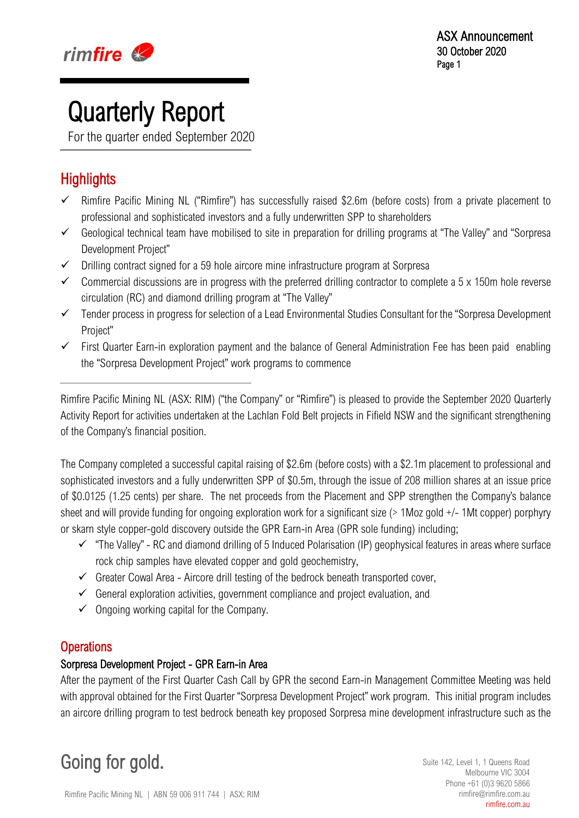

# **Quarterly Report**<br>For the quarter ended September 2020

 $\overline{a}$ 

### **Highlights**

I

- Rimfire Pacific Mining NL ("Rimfire") has successfully raised \$2.6m (before costs) from a private placement to professional and sophisticated investors and a fully underwritten SPP to shareholders
- Geological technical team have mobilised to site in preparation for drilling programs at "The Valley" and "Sorpresa Development Project"
- $\checkmark$  Drilling contract signed for a 59 hole aircore mine infrastructure program at Sorpresa
- $\checkmark$  Commercial discussions are in progress with the preferred drilling contractor to complete a 5 x 150m hole reverse circulation (RC) and diamond drilling program at "The Valley"
- $\checkmark$  Tender process in progress for selection of a Lead Environmental Studies Consultant for the "Sorpresa Development Project"
- $\checkmark$  First Quarter Earn-in exploration payment and the balance of General Administration Fee has been paid enabling the "Sorpresa Development Project" work programs to commence

Rimfire Pacific Mining NL (ASX: RIM) ("the Company" or "Rimfire") is pleased to provide the September 2020 Quarterly Activity Report for activities undertaken at the Lachlan Fold Belt projects in Fifield NSW and the significant strengthening of the Company's financial position.

The Company completed a successful capital raising of \$2.6m (before costs) with a \$2.1m placement to professional and sophisticated investors and a fully underwritten SPP of \$0.5m, through the issue of 208 million shares at an issue price of \$0.0125 (1.25 cents) per share. The net proceeds from the Placement and SPP strengthen the Company's balance sheet and will provide funding for ongoing exploration work for a significant size (> 1Moz gold +/- 1Mt copper) porphyry or skarn style copper-gold discovery outside the GPR Earn-in Area (GPR sole funding) including;

- $\checkmark$  "The Valley" RC and diamond drilling of 5 Induced Polarisation (IP) geophysical features in areas where surface rock chip samples have elevated copper and gold geochemistry,
- $\checkmark$  Greater Cowal Area Aircore drill testing of the bedrock beneath transported cover,
- $\checkmark$  General exploration activities, government compliance and project evaluation, and
- $\checkmark$  Ongoing working capital for the Company.

### **Operations**

### Sorpresa Development Project - GPR Earn-in Area

After the payment of the First Quarter Cash Call by GPR the second Earn-in Management Committee Meeting was held with approval obtained for the First Quarter "Sorpresa Development Project" work program. This initial program includes an aircore drilling program to test bedrock beneath key proposed Sorpresa mine development infrastructure such as the

Going for gold. Suite 142, Level 1, 1 Queens Road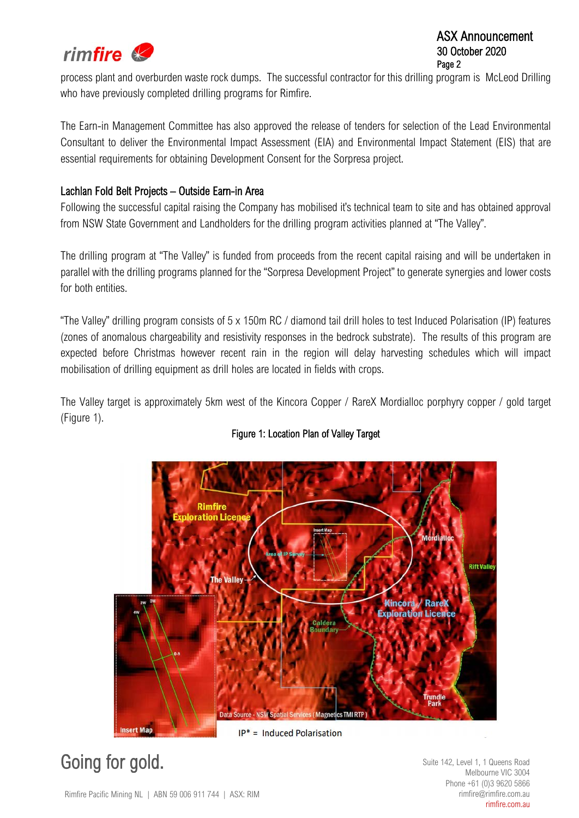

### ASX Announcement 30 October 2020 Page 2

process plant and overburden waste rock dumps. The successful contractor for this drilling program is McLeod Drilling who have previously completed drilling programs for Rimfire.

The Earn-in Management Committee has also approved the release of tenders for selection of the Lead Environmental Consultant to deliver the Environmental Impact Assessment (EIA) and Environmental Impact Statement (EIS) that are essential requirements for obtaining Development Consent for the Sorpresa project.

### Lachlan Fold Belt Projects – Outside Earn-in Area

Following the successful capital raising the Company has mobilised it's technical team to site and has obtained approval from NSW State Government and Landholders for the drilling program activities planned at "The Valley".

The drilling program at "The Valley" is funded from proceeds from the recent capital raising and will be undertaken in parallel with the drilling programs planned for the "Sorpresa Development Project" to generate synergies and lower costs for both entities.

"The Valley" drilling program consists of 5 x 150m RC / diamond tail drill holes to test Induced Polarisation (IP) features (zones of anomalous chargeability and resistivity responses in the bedrock substrate). The results of this program are expected before Christmas however recent rain in the region will delay harvesting schedules which will impact mobilisation of drilling equipment as drill holes are located in fields with crops.

The Valley target is approximately 5km west of the Kincora Copper / RareX Mordialloc porphyry copper / gold target (Figure 1).

### Figure 1: Location Plan of Valley Target



### Going for gold. Suite 142, Level 1, 1 Queens Road

Melbourne VIC 3004 Phone +61 (0)3 9620 5866 rimfire@rimfire.com.au rimfire.com.au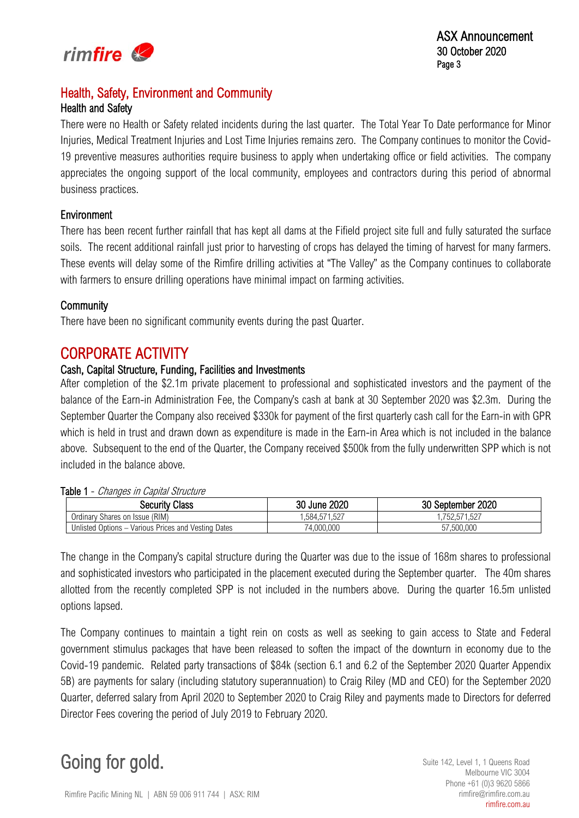

### Health, Safety, Environment and Community

### Health and Safety

There were no Health or Safety related incidents during the last quarter. The Total Year To Date performance for Minor Injuries, Medical Treatment Injuries and Lost Time Injuries remains zero. The Company continues to monitor the Covid-19 preventive measures authorities require business to apply when undertaking office or field activities. The company appreciates the ongoing support of the local community, employees and contractors during this period of abnormal business practices.

### Environment

There has been recent further rainfall that has kept all dams at the Fifield project site full and fully saturated the surface soils. The recent additional rainfall just prior to harvesting of crops has delayed the timing of harvest for many farmers. These events will delay some of the Rimfire drilling activities at "The Valley" as the Company continues to collaborate with farmers to ensure drilling operations have minimal impact on farming activities.

### **Community**

There have been no significant community events during the past Quarter.

## CORPORATE ACTIVITY<br>Cash, Capital Structure, Funding, Facilities and Investments

After completion of the \$2.1m private placement to professional and sophisticated investors and the payment of the balance of the Earn-in Administration Fee, the Company's cash at bank at 30 September 2020 was \$2.3m. During the September Quarter the Company also received \$330k for payment of the first quarterly cash call for the Earn-in with GPR which is held in trust and drawn down as expenditure is made in the Earn-in Area which is not included in the balance above. Subsequent to the end of the Quarter, the Company received \$500k from the fully underwritten SPP which is not included in the balance above.

| $\overline{a}$ uutuutuutta ilka ka badan argamaan duuduutta ka badan argamaan duuduutta ka badan argamaan duuduutta ka badan argamaan duuduutta ka badan argamaan duuduutta ka badan argamaan duuduutta ka badan argamaan duuduutta |                                                     |              |                   |  |  |  |  |  |
|-------------------------------------------------------------------------------------------------------------------------------------------------------------------------------------------------------------------------------------|-----------------------------------------------------|--------------|-------------------|--|--|--|--|--|
|                                                                                                                                                                                                                                     | Security Class                                      | 30 June 2020 | 30 September 2020 |  |  |  |  |  |
|                                                                                                                                                                                                                                     | Ordinary Shares on Issue (RIM)                      | .584.571.527 | .752.571.527      |  |  |  |  |  |
|                                                                                                                                                                                                                                     | Unlisted Options - Various Prices and Vesting Dates | 74,000,000   | 57,500,000        |  |  |  |  |  |

### Table 1 - Changes in Capital Structure

The change in the Company's capital structure during the Quarter was due to the issue of 168m shares to professional and sophisticated investors who participated in the placement executed during the September quarter. The 40m shares allotted from the recently completed SPP is not included in the numbers above. During the quarter 16.5m unlisted options lapsed.

The Company continues to maintain a tight rein on costs as well as seeking to gain access to State and Federal government stimulus packages that have been released to soften the impact of the downturn in economy due to the Covid-19 pandemic. Related party transactions of \$84k (section 6.1 and 6.2 of the September 2020 Quarter Appendix 5B) are payments for salary (including statutory superannuation) to Craig Riley (MD and CEO) for the September 2020 Quarter, deferred salary from April 2020 to September 2020 to Craig Riley and payments made to Directors for deferred Director Fees covering the period of July 2019 to February 2020.

### Going for gold. Suite 142, Level 1, 1 Queens Road

Melbourne VIC 3004 Phone +61 (0)3 9620 5866 rimfire@rimfire.com.au rimfire.com.au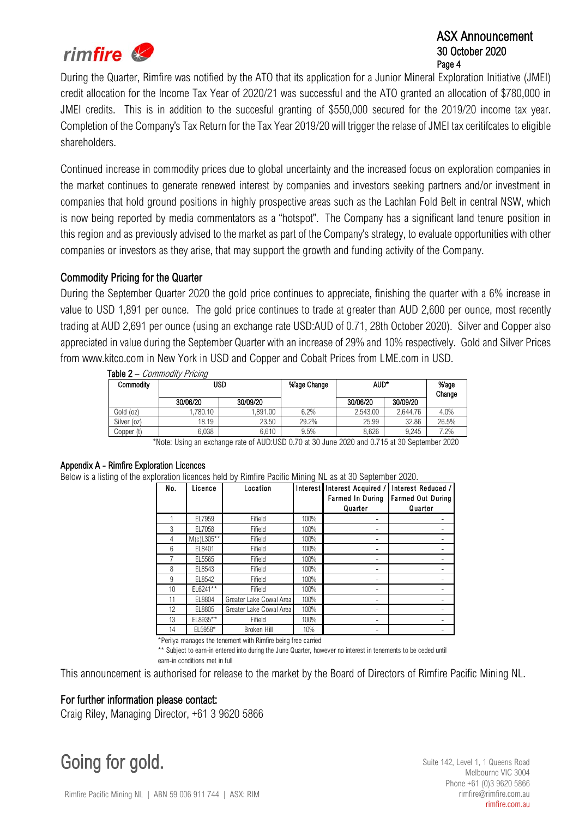

### ASX Announcement 30 October 2020 Page 4

During the Quarter, Rimfire was notified by the ATO that its application for a Junior Mineral Exploration Initiative (JMEI) credit allocation for the Income Tax Year of 2020/21 was successful and the ATO granted an allocation of \$780,000 in JMEI credits. This is in addition to the succesful granting of \$550,000 secured for the 2019/20 income tax year. Completion of the Company's Tax Return for the Tax Year 2019/20 will trigger the relase of JMEI tax ceritifcates to eligible shareholders.

Continued increase in commodity prices due to global uncertainty and the increased focus on exploration companies in the market continues to generate renewed interest by companies and investors seeking partners and/or investment in companies that hold ground positions in highly prospective areas such as the Lachlan Fold Belt in central NSW, which is now being reported by media commentators as a "hotspot". The Company has a significant land tenure position in this region and as previously advised to the market as part of the Company's strategy, to evaluate opportunities with other companies or investors as they arise, that may support the growth and funding activity of the Company.

### Commodity Pricing for the Quarter

During the September Quarter 2020 the gold price continues to appreciate, finishing the quarter with a 6% increase in value to USD 1,891 per ounce. The gold price continues to trade at greater than AUD 2,600 per ounce, most recently trading at AUD 2,691 per ounce (using an exchange rate USD:AUD of 0.71, 28th October 2020). Silver and Copper also appreciated in value during the September Quarter with an increase of 29% and 10% respectively. Gold and Silver Prices from www.kitco.com in New York in USD and Copper and Cobalt Prices from LME.com in USD.

| Commodity   | USD                                                               |          | %'age Change | AUD*     |                    | %'age<br>Change |  |  |  |
|-------------|-------------------------------------------------------------------|----------|--------------|----------|--------------------|-----------------|--|--|--|
|             | 30/06/20                                                          | 30/09/20 |              | 30/06/20 | 30/09/20           |                 |  |  |  |
| Gold (oz)   | ,780.10                                                           | 1.891.00 | 6.2%         | 2.543.00 | 2.644.76           | 4.0%            |  |  |  |
| Silver (oz) | 18.19                                                             | 23.50    | 29.2%        | 25.99    | 32.86              | 26.5%           |  |  |  |
| Copper (t)  | 6.038                                                             | 6.610    | 9.5%         | 8.626    | 9.245              | 7.2%            |  |  |  |
|             | $\Delta$ , and $\Delta$ is a set of $\Delta$ is a set of $\Delta$ |          |              | 0.000    | $1.0715$ , $0.000$ | 0.000           |  |  |  |

Table 2 – Commodity Pricing

\*Note: Using an exchange rate of AUD:USD 0.70 at 30 June 2020 and 0.715 at 30 September 2020

### Appendix A - Rimfire Exploration Licences

Below is a listing of the exploration licences held by Rimfire Pacific Mining NL as at 30 September 2020.

| No. | Licence       | Location                | Interest | Interest Acquired /<br><b>Farmed In During</b><br>Quarter | Interest Reduced /<br><b>Farmed Out During</b><br>Quarter |
|-----|---------------|-------------------------|----------|-----------------------------------------------------------|-----------------------------------------------------------|
|     | EL7959        | Fifield                 | 100%     |                                                           |                                                           |
| 3   | EL7058        | Fifield                 | 100%     |                                                           |                                                           |
| 4   | $M(c)$ L305** | Fifield                 | 100%     |                                                           |                                                           |
| 6   | EL8401        | Fifield                 | 100%     |                                                           |                                                           |
| 7   | EL5565        | Fifield                 | 100%     |                                                           |                                                           |
| 8   | EL8543        | Fifield                 | 100%     |                                                           |                                                           |
| 9   | EL8542        | Fifield                 | 100%     |                                                           |                                                           |
| 10  | $EL6241**$    | Fifield                 | 100%     |                                                           |                                                           |
| 11  | EL8804        | Greater Lake Cowal Area | 100%     |                                                           |                                                           |
| 12  | EL8805        | Greater Lake Cowal Area | 100%     |                                                           |                                                           |
| 13  | EL8935**      | Fifield                 | 100%     |                                                           |                                                           |
| 14  | EL5958*       | <b>Broken Hill</b>      | 10%      |                                                           |                                                           |

\*Perilya manages the tenement with Rimfire being free carried

\*\* Subject to earn-in entered into during the June Quarter, however no interest in tenements to be ceded until earn-in conditions met in full

This announcement is authorised for release to the market by the Board of Directors of Rimfire Pacific Mining NL.

### For further information please contact:

Craig Riley, Managing Director, +61 3 9620 5866

Going for gold. Suite 142, Level 1, 1 Queens Road